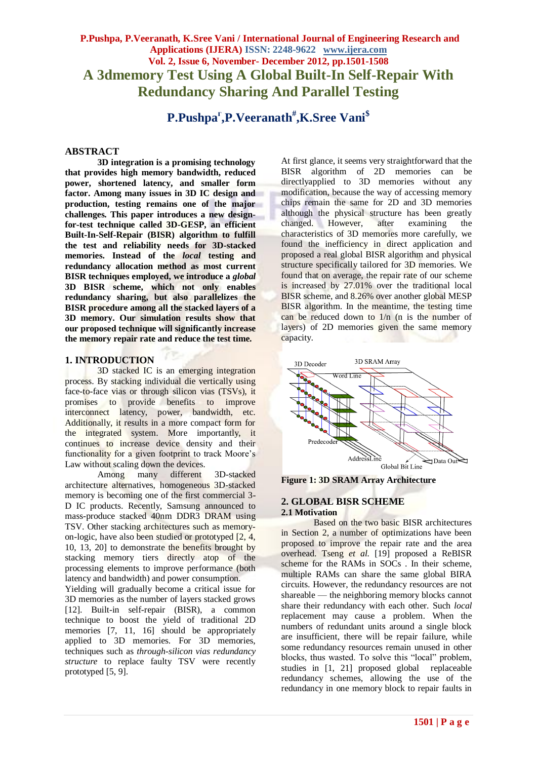# **P.Pushpa, P.Veeranath, K.Sree Vani / International Journal of Engineering Research and Applications (IJERA) ISSN: 2248-9622 www.ijera.com Vol. 2, Issue 6, November- December 2012, pp.1501-1508 A 3dmemory Test Using A Global Built-In Self-Repair With Redundancy Sharing And Parallel Testing**

**P.Pushpa<sup>г</sup> ,P.Veeranath# ,K.Sree Vani\$**

## **ABSTRACT**

**3D integration is a promising technology that provides high memory bandwidth, reduced power, shortened latency, and smaller form factor. Among many issues in 3D IC design and production, testing remains one of the major challenges. This paper introduces a new designfor-test technique called 3D-GESP, an efficient Built-In-Self-Repair (BISR) algorithm to fulfill the test and reliability needs for 3D-stacked memories. Instead of the** *local* **testing and redundancy allocation method as most current BISR techniques employed, we introduce a** *global*  **3D BISR scheme, which not only enables redundancy sharing, but also parallelizes the BISR procedure among all the stacked layers of a 3D memory. Our simulation results show that our proposed technique will significantly increase the memory repair rate and reduce the test time.**

## **1. INTRODUCTION**

3D stacked IC is an emerging integration process. By stacking individual die vertically using face-to-face vias or through silicon vias (TSVs), it promises to provide benefits to improve interconnect latency, power, bandwidth, etc. Additionally, it results in a more compact form for the integrated system. More importantly, it continues to increase device density and their functionality for a given footprint to track Moore's Law without scaling down the devices.

Among many different 3D-stacked architecture alternatives, homogeneous 3D-stacked memory is becoming one of the first commercial 3- D IC products. Recently, Samsung announced to mass-produce stacked 40nm DDR3 DRAM using TSV. Other stacking architectures such as memoryon-logic, have also been studied or prototyped [2, 4, 10, 13, 20] to demonstrate the benefits brought by stacking memory tiers directly atop of the processing elements to improve performance (both latency and bandwidth) and power consumption.

Yielding will gradually become a critical issue for 3D memories as the number of layers stacked grows [12]. Built-in self-repair (BISR), a common technique to boost the yield of traditional 2D memories [7, 11, 16] should be appropriately applied to 3D memories. For 3D memories, techniques such as *through-silicon vias redundancy structure* to replace faulty TSV were recently prototyped [5, 9].

At first glance, it seems very straightforward that the BISR algorithm of 2D memories can be directlyapplied to 3D memories without any modification, because the way of accessing memory chips remain the same for 2D and 3D memories although the physical structure has been greatly changed. However, after examining the characteristics of 3D memories more carefully, we found the inefficiency in direct application and proposed a real global BISR algorithm and physical structure specifically tailored for 3D memories. We found that on average, the repair rate of our scheme is increased by 27.01% over the traditional local BISR scheme, and 8.26% over another global MESP BISR algorithm. In the meantime, the testing time can be reduced down to  $1/n$  (n is the number of layers) of 2D memories given the same memory capacity.



**Figure 1: 3D SRAM Array Architecture**

#### **2. GLOBAL BISR SCHEME 2.1 Motivation**

Based on the two basic BISR architectures in Section 2, a number of optimizations have been proposed to improve the repair rate and the area overhead. Tseng *et al.* [19] proposed a ReBISR scheme for the RAMs in SOCs . In their scheme, multiple RAMs can share the same global BIRA circuits. However, the redundancy resources are not shareable — the neighboring memory blocks cannot share their redundancy with each other. Such *local*  replacement may cause a problem. When the numbers of redundant units around a single block are insufficient, there will be repair failure, while some redundancy resources remain unused in other blocks, thus wasted. To solve this "local" problem, studies in [1, 21] proposed global replaceable redundancy schemes, allowing the use of the redundancy in one memory block to repair faults in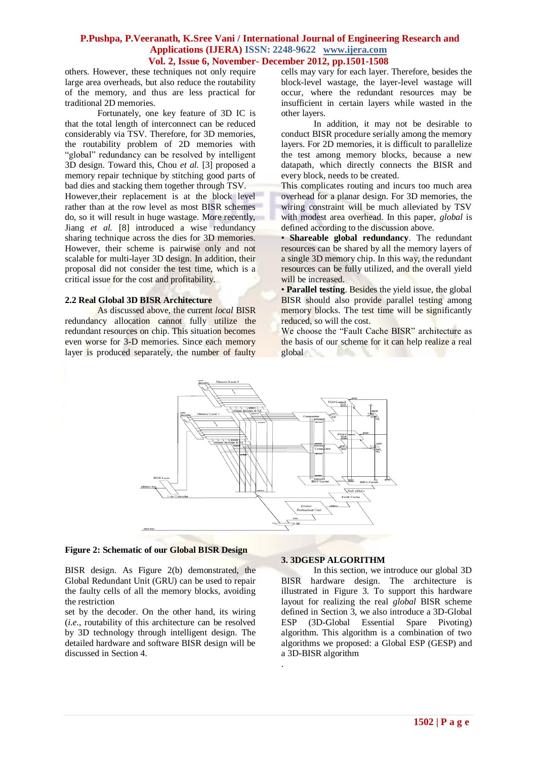others. However, these techniques not only require large area overheads, but also reduce the routability of the memory, and thus are less practical for traditional 2D memories.

Fortunately, one key feature of 3D IC is that the total length of interconnect can be reduced considerably via TSV. Therefore, for 3D memories, the routability problem of 2D memories with "global" redundancy can be resolved by intelligent 3D design. Toward this, Chou *et al.* [3] proposed a memory repair technique by stitching good parts of bad dies and stacking them together through TSV.

However,their replacement is at the block level rather than at the row level as most BISR schemes do, so it will result in huge wastage. More recently, Jiang *et al.* [8] introduced a wise redundancy sharing technique across the dies for 3D memories. However, their scheme is pairwise only and not scalable for multi-layer 3D design. In addition, their proposal did not consider the test time, which is a critical issue for the cost and profitability.

### **2.2 Real Global 3D BISR Architecture**

As discussed above, the current *local* BISR redundancy allocation cannot fully utilize the redundant resources on chip. This situation becomes even worse for 3-D memories. Since each memory layer is produced separately, the number of faulty cells may vary for each layer. Therefore, besides the block-level wastage, the layer-level wastage will occur, where the redundant resources may be insufficient in certain layers while wasted in the other layers.

In addition, it may not be desirable to conduct BISR procedure serially among the memory layers. For 2D memories, it is difficult to parallelize the test among memory blocks, because a new datapath, which directly connects the BISR and every block, needs to be created.

This complicates routing and incurs too much area overhead for a planar design. For 3D memories, the wiring constraint will be much alleviated by TSV with modest area overhead. In this paper, *global* is defined according to the discussion above.

• **Shareable global redundancy**. The redundant resources can be shared by all the memory layers of a single 3D memory chip. In this way, the redundant resources can be fully utilized, and the overall yield will be increased.

• **Parallel testing**. Besides the yield issue, the global BISR should also provide parallel testing among memory blocks. The test time will be significantly reduced, so will the cost.

We choose the "Fault Cache BISR" architecture as the basis of our scheme for it can help realize a real global



.

#### **Figure 2: Schematic of our Global BISR Design**

BISR design. As Figure 2(b) demonstrated, the Global Redundant Unit (GRU) can be used to repair the faulty cells of all the memory blocks, avoiding the restriction

set by the decoder. On the other hand, its wiring (*i.e.*, routability of this architecture can be resolved by 3D technology through intelligent design. The detailed hardware and software BISR design will be discussed in Section 4.

### **3. 3DGESP ALGORITHM**

In this section, we introduce our global 3D BISR hardware design. The architecture is illustrated in Figure 3. To support this hardware layout for realizing the real *global* BISR scheme defined in Section 3, we also introduce a 3D-Global ESP (3D-Global Essential Spare Pivoting) algorithm. This algorithm is a combination of two algorithms we proposed: a Global ESP (GESP) and a 3D-BISR algorithm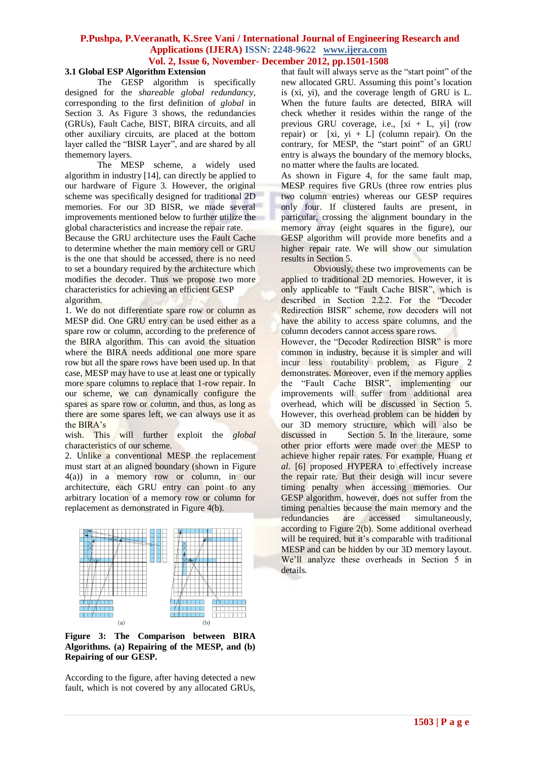### **3.1 Global ESP Algorithm Extension**

The GESP algorithm is specifically designed for the *shareable global redundancy*, corresponding to the first definition of *global* in Section 3. As Figure 3 shows, the redundancies (GRUs), Fault Cache, BIST, BIRA circuits, and all other auxiliary circuits, are placed at the bottom layer called the "BISR Layer", and are shared by all thememory layers.

The MESP scheme, a widely used algorithm in industry [14], can directly be applied to our hardware of Figure 3. However, the original scheme was specifically designed for traditional 2D memories. For our 3D BISR, we made several improvements mentioned below to further utilize the global characteristics and increase the repair rate.

Because the GRU architecture uses the Fault Cache to determine whether the main memory cell or GRU is the one that should be accessed, there is no need to set a boundary required by the architecture which modifies the decoder. Thus we propose two more characteristics for achieving an efficient GESP algorithm.

1. We do not differentiate spare row or column as MESP did. One GRU entry can be used either as a spare row or column, according to the preference of the BIRA algorithm. This can avoid the situation where the BIRA needs additional one more spare row but all the spare rows have been used up. In that case, MESP may have to use at least one or typically more spare columns to replace that 1-row repair. In our scheme, we can dynamically configure the spares as spare row or column, and thus, as long as there are some spares left, we can always use it as the BIRA's

wish. This will further exploit the *global*  characteristics of our scheme.

2. Unlike a conventional MESP the replacement must start at an aligned boundary (shown in Figure 4(a)) in a memory row or column, in our architecture, each GRU entry can point to any arbitrary location of a memory row or column for replacement as demonstrated in Figure 4(b).



**Figure 3: The Comparison between BIRA Algorithms. (a) Repairing of the MESP, and (b) Repairing of our GESP.**

According to the figure, after having detected a new fault, which is not covered by any allocated GRUs, that fault will always serve as the "start point" of the new allocated GRU. Assuming this point's location is (xi, yi), and the coverage length of GRU is L. When the future faults are detected, BIRA will check whether it resides within the range of the previous GRU coverage, i.e.,  $[x_i + L, y_i]$  (row repair) or  $[x_i, y_i + L]$  (column repair). On the contrary, for MESP, the "start point" of an GRU entry is always the boundary of the memory blocks, no matter where the faults are located.

As shown in Figure 4, for the same fault map, MESP requires five GRUs (three row entries plus two column entries) whereas our GESP requires only four. If clustered faults are present, in particular, crossing the alignment boundary in the memory array (eight squares in the figure), our GESP algorithm will provide more benefits and a higher repair rate. We will show our simulation results in Section 5.

Obviously, these two improvements can be applied to traditional 2D memories. However, it is only applicable to "Fault Cache BISR", which is described in Section 2.2.2. For the "Decoder Redirection BISR" scheme, row decoders will not have the ability to access spare columns, and the column decoders cannot access spare rows.

However, the "Decoder Redirection BISR" is more common in industry, because it is simpler and will incur less routability problem, as Figure 2 demonstrates. Moreover, even if the memory applies the "Fault Cache BISR", implementing our improvements will suffer from additional area overhead, which will be discussed in Section 5. However, this overhead problem can be hidden by our 3D memory structure, which will also be discussed in Section 5. In the literaure, some other prior efforts were made over the MESP to achieve higher repair rates. For example, Huang *et al.* [6] proposed HYPERA to effectively increase the repair rate. But their design will incur severe timing penalty when accessing memories. Our GESP algorithm, however, does not suffer from the timing penalties because the main memory and the redundancies are accessed simultaneously, according to Figure 2(b). Some additional overhead will be required, but it's comparable with traditional MESP and can be hidden by our 3D memory layout. We'll analyze these overheads in Section 5 in details.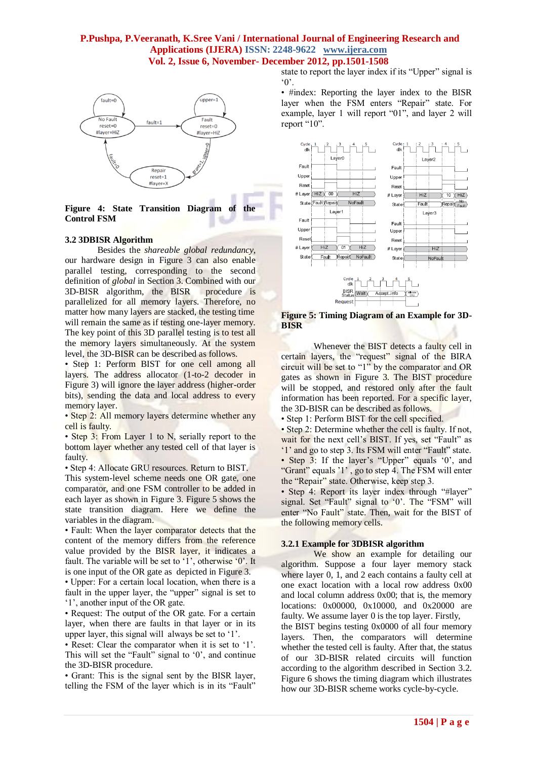

**Figure 4: State Transition Diagram of the Control FSM**

## **3.2 3DBISR Algorithm**

Besides the *shareable global redundancy*, our hardware design in Figure 3 can also enable parallel testing, corresponding to the second definition of *global* in Section 3. Combined with our 3D-BISR algorithm, the BISR procedure is parallelized for all memory layers. Therefore, no matter how many layers are stacked, the testing time will remain the same as if testing one-layer memory. The key point of this 3D parallel testing is to test all the memory layers simultaneously. At the system level, the 3D-BISR can be described as follows.

• Step 1: Perform BIST for one cell among all layers. The address allocator (1-to-2 decoder in Figure 3) will ignore the layer address (higher-order bits), sending the data and local address to every memory layer.

• Step 2: All memory layers determine whether any cell is faulty.

• Step 3: From Layer 1 to N, serially report to the bottom layer whether any tested cell of that layer is faulty.

• Step 4: Allocate GRU resources. Return to BIST.

This system-level scheme needs one OR gate, one comparator, and one FSM controller to be added in each layer as shown in Figure 3. Figure 5 shows the state transition diagram. Here we define the variables in the diagram.

• Fault: When the layer comparator detects that the content of the memory differs from the reference value provided by the BISR layer, it indicates a fault. The variable will be set to '1', otherwise '0'. It is one input of the OR gate as depicted in Figure 3.

• Upper: For a certain local location, when there is a fault in the upper layer, the "upper" signal is set to ‗1', another input of the OR gate.

• Request: The output of the OR gate. For a certain layer, when there are faults in that layer or in its upper layer, this signal will always be set to '1'.

• Reset: Clear the comparator when it is set to '1'. This will set the "Fault" signal to  $0$ , and continue the 3D-BISR procedure.

• Grant: This is the signal sent by the BISR layer, telling the FSM of the layer which is in its "Fault" state to report the layer index if its "Upper" signal is  $^{\circ}$  0'.

• #index: Reporting the layer index to the BISR layer when the FSM enters "Repair" state. For example, layer 1 will report "01", and layer 2 will report "10".



#### **Figure 5: Timing Diagram of an Example for 3D-BISR**

Whenever the BIST detects a faulty cell in certain layers, the "request" signal of the BIRA circuit will be set to "1" by the comparator and OR gates as shown in Figure 3. The BIST procedure will be stopped, and restored only after the fault information has been reported. For a specific layer, the 3D-BISR can be described as follows.

• Step 1: Perform BIST for the cell specified.

• Step 2: Determine whether the cell is faulty. If not, wait for the next cell's BIST. If yes, set "Fault" as '1' and go to step 3. Its FSM will enter "Fault" state. • Step 3: If the layer's "Upper" equals '0', and

"Grant" equals '1', go to step 4. The FSM will enter the "Repair" state. Otherwise, keep step 3.

• Step 4: Report its layer index through "#layer" signal. Set "Fault" signal to '0'. The "FSM" will enter "No Fault" state. Then, wait for the BIST of the following memory cells.

## **3.2.1 Example for 3DBISR algorithm**

We show an example for detailing our algorithm. Suppose a four layer memory stack where layer 0, 1, and 2 each contains a faulty cell at one exact location with a local row address 0x00 and local column address 0x00; that is, the memory locations: 0x00000, 0x10000, and 0x20000 are faulty. We assume layer 0 is the top layer. Firstly,

the BIST begins testing 0x0000 of all four memory layers. Then, the comparators will determine whether the tested cell is faulty. After that, the status of our 3D-BISR related circuits will function according to the algorithm described in Section 3.2. Figure 6 shows the timing diagram which illustrates how our 3D-BISR scheme works cycle-by-cycle.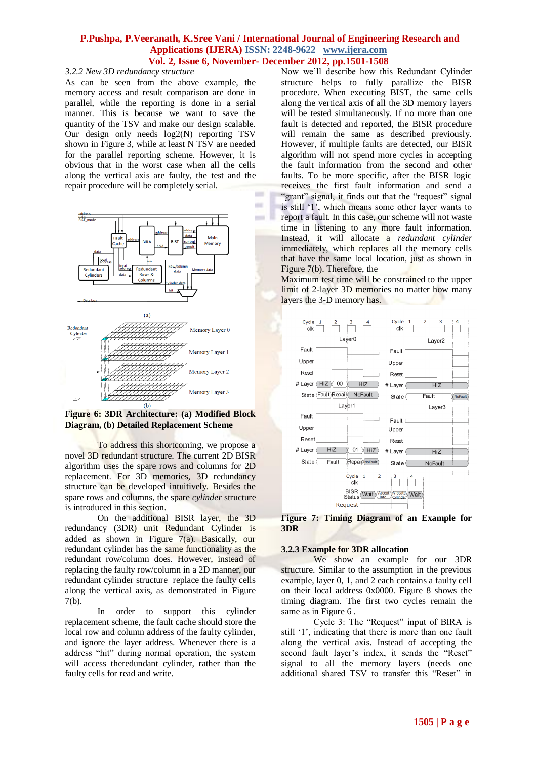in a

#### *3.2.2 New 3D redundancy structure*

As can be seen from the above example, the memory access and result comparison are done in parallel, while the reporting is done in a serial manner. This is because we want to save the quantity of the TSV and make our design scalable. Our design only needs log2(N) reporting TSV shown in Figure 3, while at least N TSV are needed for the parallel reporting scheme. However, it is obvious that in the worst case when all the cells along the vertical axis are faulty, the test and the repair procedure will be completely serial.  $\equiv$ 



**Figure 6: 3DR Architecture: (a) Modified Block Diagram, (b) Detailed Replacement Scheme**

To address this shortcoming, we propose a novel 3D redundant structure. The current 2D BISR algorithm uses the spare rows and columns for 2D replacement. For 3D memories, 3D redundancy structure can be developed intuitively. Besides the spare rows and columns, the spare *cylinder* structure is introduced in this section.

On the additional BISR layer, the 3D redundancy (3DR) unit Redundant Cylinder is added as shown in Figure 7(a). Basically, our redundant cylinder has the same functionality as the redundant row/column does. However, instead of replacing the faulty row/column in a 2D manner, our redundant cylinder structure replace the faulty cells along the vertical axis, as demonstrated in Figure 7(b).

In order to support this cylinder replacement scheme, the fault cache should store the local row and column address of the faulty cylinder, and ignore the layer address. Whenever there is a address "hit" during normal operation, the system will access theredundant cylinder, rather than the faulty cells for read and write.

Now we'll describe how this Redundant Cylinder structure helps to fully parallize the BISR procedure. When executing BIST, the same cells along the vertical axis of all the 3D memory layers will be tested simultaneously. If no more than one fault is detected and reported, the BISR procedure will remain the same as described previously. However, if multiple faults are detected, our BISR algorithm will not spend more cycles in accepting the fault information from the second and other faults. To be more specific, after the BISR logic receives the first fault information and send a "grant" signal, it finds out that the "request" signal is still ‗1', which means some other layer wants to report a fault. In this case, our scheme will not waste time in listening to any more fault information. Instead, it will allocate a *redundant cylinder*  immediately, which replaces all the memory cells that have the same local location, just as shown in Figure 7(b). Therefore, the

Maximum test time will be constrained to the upper limit of 2-layer 3D memories no matter how many layers the 3-D memory has.



**Figure 7: Timing Diagram of an Example for 3DR**

#### **3.2.3 Example for 3DR allocation**

We show an example for our 3DR structure. Similar to the assumption in the previous example, layer 0, 1, and 2 each contains a faulty cell on their local address 0x0000. Figure 8 shows the timing diagram. The first two cycles remain the same as in Figure 6.

Cycle 3: The "Request" input of BIRA is still '1', indicating that there is more than one fault along the vertical axis. Instead of accepting the second fault layer's index, it sends the "Reset" signal to all the memory layers (needs one additional shared TSV to transfer this "Reset" in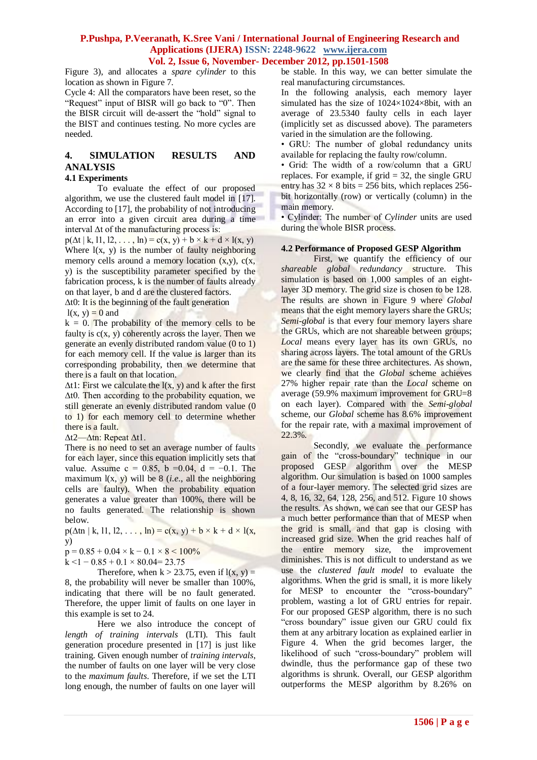Figure 3), and allocates a *spare cylinder* to this location as shown in Figure 7.

Cycle 4: All the comparators have been reset, so the "Request" input of BISR will go back to "0". Then the BISR circuit will de-assert the "hold" signal to the BIST and continues testing. No more cycles are needed.

# **4. SIMULATION RESULTS AND ANALYSIS**

## **4.1 Experiments**

To evaluate the effect of our proposed algorithm, we use the clustered fault model in [17]. According to [17], the probability of not introducing an error into a given circuit area during a time interval ∆t of the manufacturing process is:

 $p(\Delta t | k, 11, 12, \ldots, ln) = c(x, y) + b \times k + d \times l(x, y)$ Where  $l(x, y)$  is the number of faulty neighboring memory cells around a memory location  $(x,y)$ ,  $c(x,$ y) is the susceptibility parameter specified by the fabrication process, k is the number of faults already on that layer, b and d are the clustered factors.

∆t0: It is the beginning of the fault generation  $l(x, y) = 0$  and

 $k = 0$ . The probability of the memory cells to be faulty is  $c(x, y)$  coherently across the layer. Then we generate an evenly distributed random value (0 to 1) for each memory cell. If the value is larger than its corresponding probability, then we determine that there is a fault on that location.

 $\Delta t$ 1: First we calculate the l(x, y) and k after the first ∆t0. Then according to the probability equation, we still generate an evenly distributed random value (0 to 1) for each memory cell to determine whether there is a fault.

∆t2—∆tn: Repeat ∆t1.

There is no need to set an average number of faults for each layer, since this equation implicitly sets that value. Assume c = 0.85, b = 0.04, d = -0.1. The maximum  $l(x, y)$  will be 8 (*i.e.*, all the neighboring cells are faulty). When the probability equation generates a value greater than 100%, there will be no faults generated. The relationship is shown below.

 $p(\Delta t n \mid k, 11, 12, \ldots, ln) = c(x, y) + b \times k + d \times 1(x,$ y)

 $p = 0.85 + 0.04 \times k - 0.1 \times 8 \le 100\%$ 

 $k < 1 - 0.85 + 0.1 \times 80.04 = 23.75$ 

Therefore, when  $k > 23.75$ , even if  $l(x, y) =$ 8, the probability will never be smaller than 100%, indicating that there will be no fault generated. Therefore, the upper limit of faults on one layer in this example is set to 24.

Here we also introduce the concept of *length of training intervals* (LTI). This fault generation procedure presented in [17] is just like training. Given enough number of *training intervals*, the number of faults on one layer will be very close to the *maximum faults*. Therefore, if we set the LTI long enough, the number of faults on one layer will be stable. In this way, we can better simulate the real manufacturing circumstances.

In the following analysis, each memory layer simulated has the size of 1024×1024×8bit, with an average of 23.5340 faulty cells in each layer (implicitly set as discussed above). The parameters varied in the simulation are the following.

• GRU: The number of global redundancy units available for replacing the faulty row/column.

• Grid: The width of a row/column that a GRU replaces. For example, if grid = 32, the single GRU entry has  $32 \times 8$  bits = 256 bits, which replaces 256bit horizontally (row) or vertically (column) in the main memory.

• Cylinder: The number of *Cylinder* units are used during the whole BISR process.

## **4.2 Performance of Proposed GESP Algorithm**

First, we quantify the efficiency of our *shareable global redundancy* structure. This simulation is based on 1,000 samples of an eightlayer 3D memory. The grid size is chosen to be 128. The results are shown in Figure 9 where *Global*  means that the eight memory layers share the GRUs; *Semi-global* is that every four memory layers share the GRUs, which are not shareable between groups; *Local* means every layer has its own GRUs, no sharing across layers. The total amount of the GRUs are the same for these three architectures. As shown, we clearly find that the *Global* scheme achieves 27% higher repair rate than the *Local* scheme on average (59.9% maximum improvement for GRU=8 on each layer). Compared with the *Semi-global*  scheme, our *Global* scheme has 8.6% improvement for the repair rate, with a maximal improvement of 22.3%.

Secondly, we evaluate the performance gain of the "cross-boundary" technique in our proposed GESP algorithm over the MESP algorithm. Our simulation is based on 1000 samples of a four-layer memory. The selected grid sizes are 4, 8, 16, 32, 64, 128, 256, and 512. Figure 10 shows the results. As shown, we can see that our GESP has a much better performance than that of MESP when the grid is small, and that gap is closing with increased grid size. When the grid reaches half of the entire memory size, the improvement diminishes. This is not difficult to understand as we use the *clustered fault model* to evaluate the algorithms. When the grid is small, it is more likely for MESP to encounter the "cross-boundary" problem, wasting a lot of GRU entries for repair. For our proposed GESP algorithm, there is no such "cross boundary" issue given our GRU could fix them at any arbitrary location as explained earlier in Figure 4. When the grid becomes larger, the likelihood of such "cross-boundary" problem will dwindle, thus the performance gap of these two algorithms is shrunk. Overall, our GESP algorithm outperforms the MESP algorithm by 8.26% on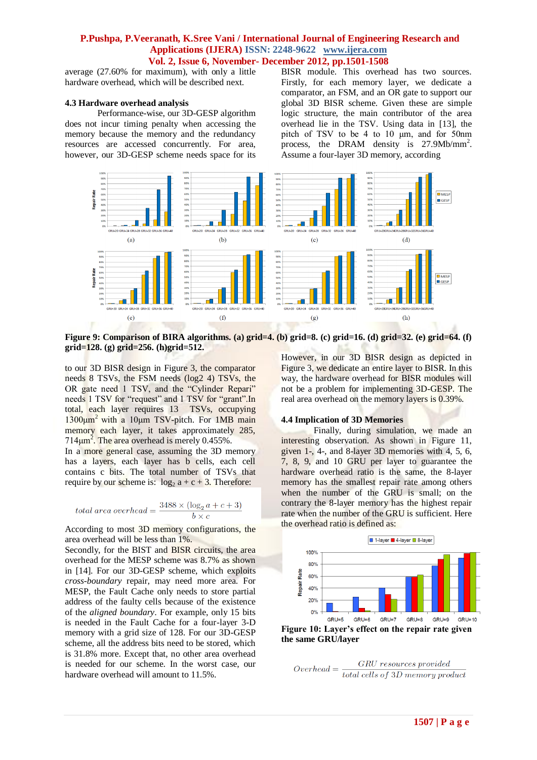average (27.60% for maximum), with only a little hardware overhead, which will be described next.

#### **4.3 Hardware overhead analysis**

Performance-wise, our 3D-GESP algorithm does not incur timing penalty when accessing the memory because the memory and the redundancy resources are accessed concurrently. For area, however, our 3D-GESP scheme needs space for its BISR module. This overhead has two sources. Firstly, for each memory layer, we dedicate a comparator, an FSM, and an OR gate to support our global 3D BISR scheme. Given these are simple logic structure, the main contributor of the area overhead lie in the TSV. Using data in [13], the pitch of TSV to be 4 to 10 μm, and for 50nm process, the DRAM density is 27.9Mb/mm<sup>2</sup>. Assume a four-layer 3D memory, according



**Figure 9: Comparison of BIRA algorithms. (a) grid=4. (b) grid=8. (c) grid=16. (d) grid=32. (e) grid=64. (f) grid=128. (g) grid=256. (h)grid=512.**

to our 3D BISR design in Figure 3, the comparator needs 8 TSVs, the FSM needs (log2 4) TSVs, the OR gate need 1 TSV, and the "Cylinder Repari" needs 1 TSV for "request" and 1 TSV for "grant".In total, each layer requires 13 TSVs, occupying  $1300 \mu m^2$  with a 10 $\mu$ m TSV-pitch. For 1MB main memory each layer, it takes approximately 285,  $714 \mu m^2$ . The area overhead is merely 0.455%.

In a more general case, assuming the 3D memory has a layers, each layer has b cells, each cell contains c bits. The total number of TSVs that require by our scheme is:  $\log_2 a + c + 3$ . Therefore:

$$
total\ area\ overhead = \frac{3488 \times (\log_2 a + c + 3)}{b \times c}
$$

According to most 3D memory configurations, the area overhead will be less than 1%.

Secondly, for the BIST and BISR circuits, the area overhead for the MESP scheme was 8.7% as shown in [14]. For our 3D-GESP scheme, which exploits *cross-boundary* repair, may need more area. For MESP, the Fault Cache only needs to store partial address of the faulty cells because of the existence of the *aligned boundary*. For example, only 15 bits is needed in the Fault Cache for a four-layer 3-D memory with a grid size of 128. For our 3D-GESP scheme, all the address bits need to be stored, which is 31.8% more. Except that, no other area overhead is needed for our scheme. In the worst case, our hardware overhead will amount to 11.5%.

However, in our 3D BISR design as depicted in Figure 3, we dedicate an entire layer to BISR. In this way, the hardware overhead for BISR modules will not be a problem for implementing 3D-GESP. The real area overhead on the memory layers is 0.39%.

#### **4.4 Implication of 3D Memories**

Finally, during simulation, we made an interesting observation. As shown in Figure 11, given 1-, 4-, and 8-layer 3D memories with 4, 5, 6, 7, 8, 9, and 10 GRU per layer to guarantee the hardware overhead ratio is the same, the 8-layer memory has the smallest repair rate among others when the number of the GRU is small; on the contrary the 8-layer memory has the highest repair rate when the number of the GRU is sufficient. Here the overhead ratio is defined as:



GRU resources provided  $Overhead = \frac{GRU\ resources\ provided}{total\ cells\ of\ 3D\ memory\ product}$